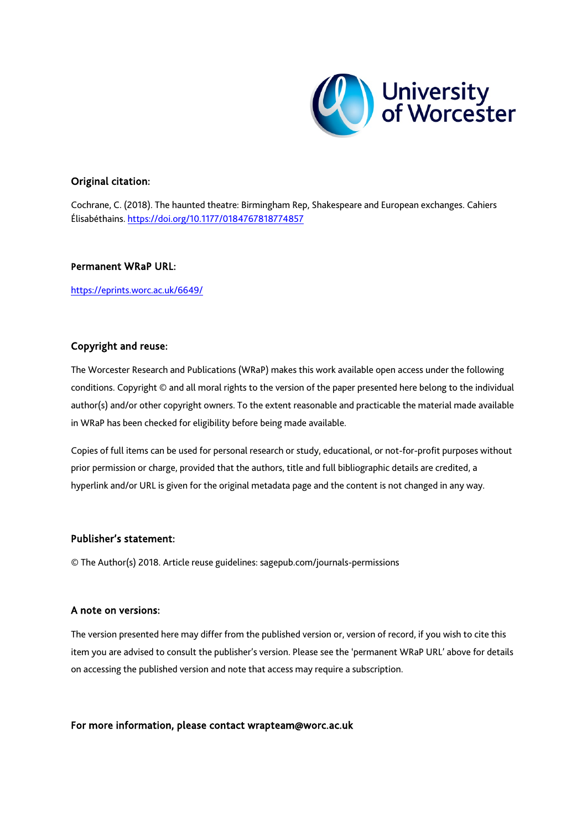

## Original citation:

Cochrane, C. (2018). The haunted theatre: Birmingham Rep, Shakespeare and European exchanges. Cahiers Élisabéthains[. https://doi.org/10.1177/0184767818774857](https://doi.org/10.1177/0184767818774857)

### Permanent WRaP URL:

<https://eprints.worc.ac.uk/6649/>

# Copyright and reuse:

The Worcester Research and Publications (WRaP) makes this work available open access under the following conditions. Copyright © and all moral rights to the version of the paper presented here belong to the individual author(s) and/or other copyright owners. To the extent reasonable and practicable the material made available in WRaP has been checked for eligibility before being made available.

Copies of full items can be used for personal research or study, educational, or not-for-profit purposes without prior permission or charge, provided that the authors, title and full bibliographic details are credited, a hyperlink and/or URL is given for the original metadata page and the content is not changed in any way.

# Publisher's statement:

© The Author(s) 2018. Article reuse guidelines: sagepub.com/journals-permissions

### A note on versions:

The version presented here may differ from the published version or, version of record, if you wish to cite this item you are advised to consult the publisher's version. Please see the 'permanent WRaP URL' above for details on accessing the published version and note that access may require a subscription.

#### For more information, please contact wrapteam@worc.ac.uk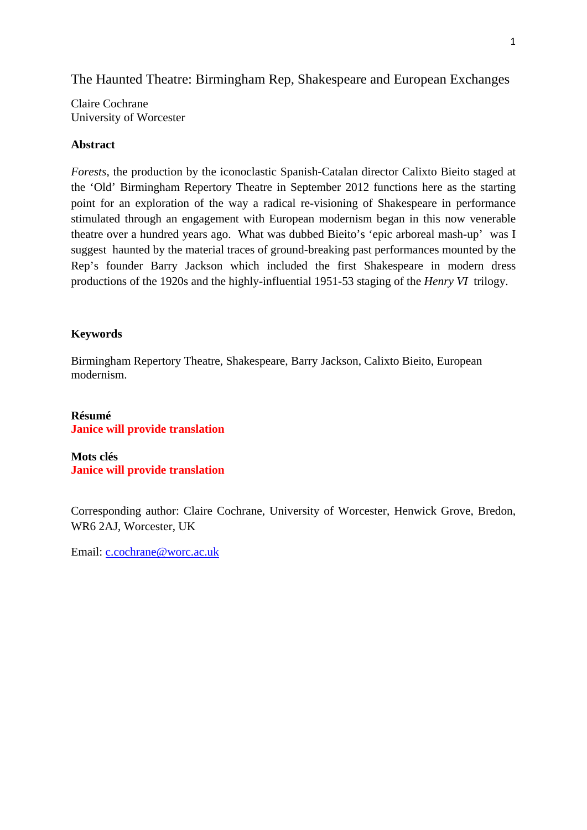# The Haunted Theatre: Birmingham Rep, Shakespeare and European Exchanges

Claire Cochrane University of Worcester

# **Abstract**

*Forests*, the production by the iconoclastic Spanish-Catalan director Calixto Bieito staged at the 'Old' Birmingham Repertory Theatre in September 2012 functions here as the starting point for an exploration of the way a radical re-visioning of Shakespeare in performance stimulated through an engagement with European modernism began in this now venerable theatre over a hundred years ago. What was dubbed Bieito's 'epic arboreal mash-up' was I suggest haunted by the material traces of ground-breaking past performances mounted by the Rep's founder Barry Jackson which included the first Shakespeare in modern dress productions of the 1920s and the highly-influential 1951-53 staging of the *Henry VI* trilogy.

# **Keywords**

Birmingham Repertory Theatre, Shakespeare, Barry Jackson, Calixto Bieito, European modernism.

**Résumé Janice will provide translation**

**Mots clés Janice will provide translation**

Corresponding author: Claire Cochrane, University of Worcester, Henwick Grove, Bredon, WR6 2AJ, Worcester, UK

Email: [c.cochrane@worc.ac.uk](mailto:c.cochrane@worc.ac.uk)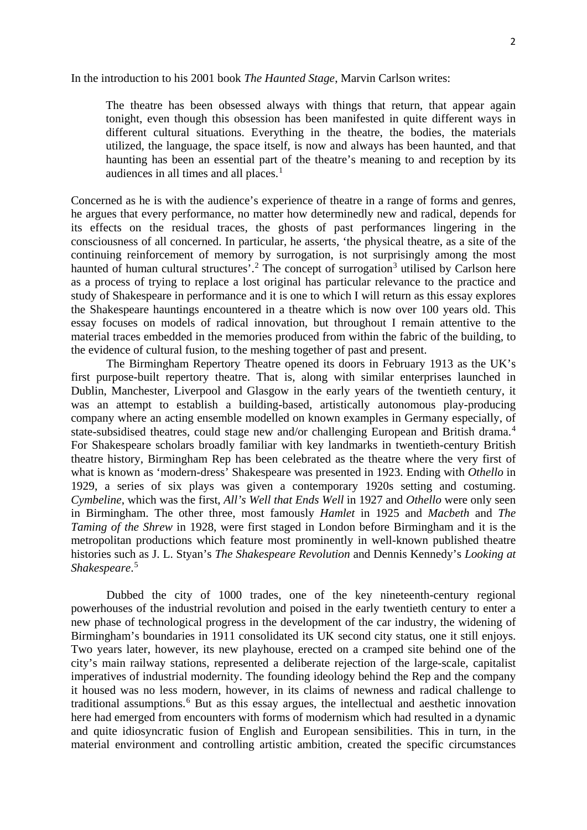In the introduction to his 2001 book *The Haunted Stage*, Marvin Carlson writes:

The theatre has been obsessed always with things that return, that appear again tonight, even though this obsession has been manifested in quite different ways in different cultural situations. Everything in the theatre, the bodies, the materials utilized, the language, the space itself, is now and always has been haunted, and that haunting has been an essential part of the theatre's meaning to and reception by its audiences in all times and all places. $<sup>1</sup>$  $<sup>1</sup>$  $<sup>1</sup>$ </sup>

Concerned as he is with the audience's experience of theatre in a range of forms and genres, he argues that every performance, no matter how determinedly new and radical, depends for its effects on the residual traces, the ghosts of past performances lingering in the consciousness of all concerned. In particular, he asserts, 'the physical theatre, as a site of the continuing reinforcement of memory by surrogation, is not surprisingly among the most haunted of human cultural structures'.<sup>[2](#page-10-1)</sup> The concept of surrogation<sup>[3](#page-10-2)</sup> utilised by Carlson here as a process of trying to replace a lost original has particular relevance to the practice and study of Shakespeare in performance and it is one to which I will return as this essay explores the Shakespeare hauntings encountered in a theatre which is now over 100 years old. This essay focuses on models of radical innovation, but throughout I remain attentive to the material traces embedded in the memories produced from within the fabric of the building, to the evidence of cultural fusion, to the meshing together of past and present.

The Birmingham Repertory Theatre opened its doors in February 1913 as the UK's first purpose-built repertory theatre. That is, along with similar enterprises launched in Dublin, Manchester, Liverpool and Glasgow in the early years of the twentieth century, it was an attempt to establish a building-based, artistically autonomous play-producing company where an acting ensemble modelled on known examples in Germany especially, of state-subsidised theatres, could stage new and/or challenging European and British drama.<sup>[4](#page-10-3)</sup> For Shakespeare scholars broadly familiar with key landmarks in twentieth-century British theatre history, Birmingham Rep has been celebrated as the theatre where the very first of what is known as 'modern-dress' Shakespeare was presented in 1923. Ending with *Othello* in 1929, a series of six plays was given a contemporary 1920s setting and costuming. *Cymbeline*, which was the first, *All's Well that Ends Well* in 1927 and *Othello* were only seen in Birmingham. The other three, most famously *Hamlet* in 1925 and *Macbeth* and *The Taming of the Shrew* in 1928, were first staged in London before Birmingham and it is the metropolitan productions which feature most prominently in well-known published theatre histories such as J. L. Styan's *The Shakespeare Revolution* and Dennis Kennedy's *Looking at Shakespeare*. [5](#page-10-4)

Dubbed the city of 1000 trades, one of the key nineteenth-century regional powerhouses of the industrial revolution and poised in the early twentieth century to enter a new phase of technological progress in the development of the car industry, the widening of Birmingham's boundaries in 1911 consolidated its UK second city status, one it still enjoys. Two years later, however, its new playhouse, erected on a cramped site behind one of the city's main railway stations, represented a deliberate rejection of the large-scale, capitalist imperatives of industrial modernity. The founding ideology behind the Rep and the company it housed was no less modern, however, in its claims of newness and radical challenge to traditional assumptions. [6](#page-10-5) But as this essay argues, the intellectual and aesthetic innovation here had emerged from encounters with forms of modernism which had resulted in a dynamic and quite idiosyncratic fusion of English and European sensibilities. This in turn, in the material environment and controlling artistic ambition, created the specific circumstances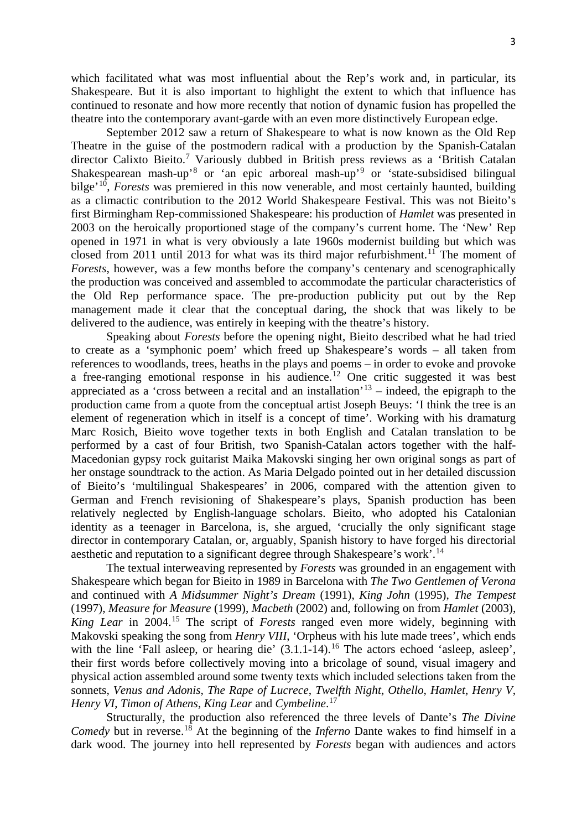which facilitated what was most influential about the Rep's work and, in particular, its Shakespeare. But it is also important to highlight the extent to which that influence has continued to resonate and how more recently that notion of dynamic fusion has propelled the theatre into the contemporary avant-garde with an even more distinctively European edge.

September 2012 saw a return of Shakespeare to what is now known as the Old Rep Theatre in the guise of the postmodern radical with a production by the Spanish-Catalan director Calixto Bieito. [7](#page-10-6) Variously dubbed in British press reviews as a 'British Catalan Shakespearean mash-up<sup>3</sup> or 'an epic arboreal mash-up<sup>3</sup> or 'state-subsidised bilingual bilge'[10,](#page-11-2) *Forests* was premiered in this now venerable, and most certainly haunted, building as a climactic contribution to the 2012 World Shakespeare Festival. This was not Bieito's first Birmingham Rep-commissioned Shakespeare: his production of *Hamlet* was presented in 2003 on the heroically proportioned stage of the company's current home. The 'New' Rep opened in 1971 in what is very obviously a late 1960s modernist building but which was closed from 20[11](#page-11-3) until 2013 for what was its third major refurbishment.<sup>11</sup> The moment of *Forests*, however, was a few months before the company's centenary and scenographically the production was conceived and assembled to accommodate the particular characteristics of the Old Rep performance space. The pre-production publicity put out by the Rep management made it clear that the conceptual daring, the shock that was likely to be delivered to the audience, was entirely in keeping with the theatre's history.

Speaking about *Forests* before the opening night, Bieito described what he had tried to create as a 'symphonic poem' which freed up Shakespeare's words – all taken from references to woodlands, trees, heaths in the plays and poems – in order to evoke and provoke a free-ranging emotional response in his audience.<sup>[12](#page-11-4)</sup> One critic suggested it was best appreciated as a 'cross between a recital and an installation'<sup>[13](#page-11-5)</sup> – indeed, the epigraph to the production came from a quote from the conceptual artist Joseph Beuys: 'I think the tree is an element of regeneration which in itself is a concept of time'. Working with his dramaturg Marc Rosich, Bieito wove together texts in both English and Catalan translation to be performed by a cast of four British, two Spanish-Catalan actors together with the half-Macedonian gypsy rock guitarist Maika Makovski singing her own original songs as part of her onstage soundtrack to the action. As Maria Delgado pointed out in her detailed discussion of Bieito's 'multilingual Shakespeares' in 2006, compared with the attention given to German and French revisioning of Shakespeare's plays, Spanish production has been relatively neglected by English-language scholars. Bieito, who adopted his Catalonian identity as a teenager in Barcelona, is, she argued, 'crucially the only significant stage director in contemporary Catalan, or, arguably, Spanish history to have forged his directorial aesthetic and reputation to a significant degree through Shakespeare's work'.<sup>[14](#page-11-6)</sup>

The textual interweaving represented by *Forests* was grounded in an engagement with Shakespeare which began for Bieito in 1989 in Barcelona with *The Two Gentlemen of Verona*  and continued with *A Midsummer Night's Dream* (1991), *King John* (1995), *The Tempest*  (1997), *Measure for Measure* (1999), *Macbeth* (2002) and, following on from *Hamlet* (2003), *King Lear* in 2004.[15](#page-11-7) The script of *Forests* ranged even more widely, beginning with Makovski speaking the song from *Henry VIII*, 'Orpheus with his lute made trees', which ends with the line 'Fall asleep, or hearing die'  $(3.1.1-14)$ .<sup>[16](#page-11-8)</sup> The actors echoed 'asleep, asleep', their first words before collectively moving into a bricolage of sound, visual imagery and physical action assembled around some twenty texts which included selections taken from the sonnets, *Venus and Adonis*, *The Rape of Lucrece*, *Twelfth Night*, *Othello*, *Hamlet*, *Henry V*, *Henry VI*, *Timon of Athens*, *King Lear* and *Cymbeline*. [17](#page-11-9)

Structurally, the production also referenced the three levels of Dante's *The Divine Comedy* but in reverse.<sup>[18](#page-11-10)</sup> At the beginning of the *Inferno* Dante wakes to find himself in a dark wood. The journey into hell represented by *Forests* began with audiences and actors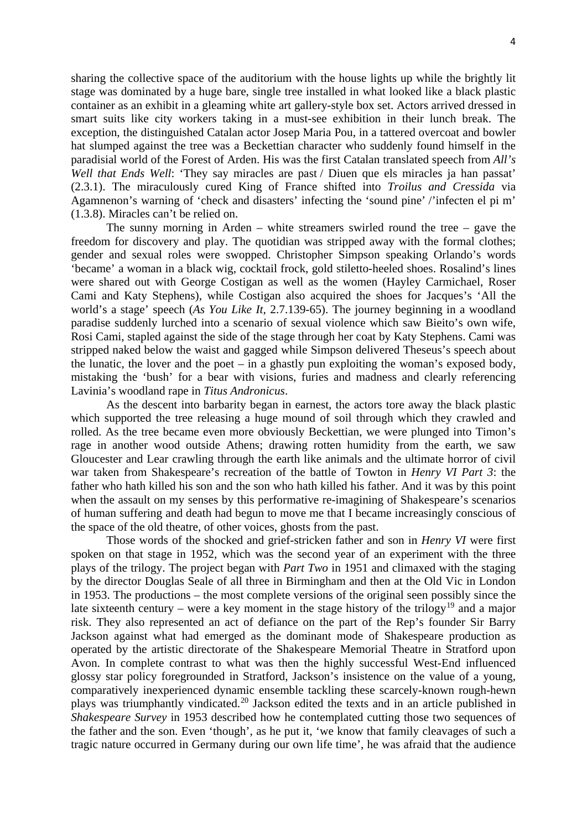sharing the collective space of the auditorium with the house lights up while the brightly lit stage was dominated by a huge bare, single tree installed in what looked like a black plastic container as an exhibit in a gleaming white art gallery-style box set. Actors arrived dressed in smart suits like city workers taking in a must-see exhibition in their lunch break. The exception, the distinguished Catalan actor Josep Maria Pou, in a tattered overcoat and bowler hat slumped against the tree was a Beckettian character who suddenly found himself in the paradisial world of the Forest of Arden. His was the first Catalan translated speech from *All's Well that Ends Well*: 'They say miracles are past / Diuen que els miracles ja han passat' (2.3.1). The miraculously cured King of France shifted into *Troilus and Cressida* via Agamnenon's warning of 'check and disasters' infecting the 'sound pine' /'infecten el pi m' (1.3.8). Miracles can't be relied on.

The sunny morning in Arden – white streamers swirled round the tree – gave the freedom for discovery and play. The quotidian was stripped away with the formal clothes; gender and sexual roles were swopped. Christopher Simpson speaking Orlando's words 'became' a woman in a black wig, cocktail frock, gold stiletto-heeled shoes. Rosalind's lines were shared out with George Costigan as well as the women (Hayley Carmichael, Roser Cami and Katy Stephens), while Costigan also acquired the shoes for Jacques's 'All the world's a stage' speech (*As You Like It,* 2.7.139-65). The journey beginning in a woodland paradise suddenly lurched into a scenario of sexual violence which saw Bieito's own wife, Rosi Cami, stapled against the side of the stage through her coat by Katy Stephens. Cami was stripped naked below the waist and gagged while Simpson delivered Theseus's speech about the lunatic, the lover and the poet – in a ghastly pun exploiting the woman's exposed body, mistaking the 'bush' for a bear with visions, furies and madness and clearly referencing Lavinia's woodland rape in *Titus Andronicus*.

As the descent into barbarity began in earnest, the actors tore away the black plastic which supported the tree releasing a huge mound of soil through which they crawled and rolled. As the tree became even more obviously Beckettian, we were plunged into Timon's rage in another wood outside Athens; drawing rotten humidity from the earth, we saw Gloucester and Lear crawling through the earth like animals and the ultimate horror of civil war taken from Shakespeare's recreation of the battle of Towton in *Henry VI Part 3*: the father who hath killed his son and the son who hath killed his father. And it was by this point when the assault on my senses by this performative re-imagining of Shakespeare's scenarios of human suffering and death had begun to move me that I became increasingly conscious of the space of the old theatre, of other voices, ghosts from the past.

Those words of the shocked and grief-stricken father and son in *Henry VI* were first spoken on that stage in 1952, which was the second year of an experiment with the three plays of the trilogy. The project began with *Part Two* in 1951 and climaxed with the staging by the director Douglas Seale of all three in Birmingham and then at the Old Vic in London in 1953. The productions – the most complete versions of the original seen possibly since the late sixteenth century – were a key moment in the stage history of the trilogy<sup>[19](#page-11-11)</sup> and a major risk. They also represented an act of defiance on the part of the Rep's founder Sir Barry Jackson against what had emerged as the dominant mode of Shakespeare production as operated by the artistic directorate of the Shakespeare Memorial Theatre in Stratford upon Avon. In complete contrast to what was then the highly successful West-End influenced glossy star policy foregrounded in Stratford, Jackson's insistence on the value of a young, comparatively inexperienced dynamic ensemble tackling these scarcely-known rough-hewn plays was triumphantly vindicated.[20](#page-11-12) Jackson edited the texts and in an article published in *Shakespeare Survey* in 1953 described how he contemplated cutting those two sequences of the father and the son. Even 'though', as he put it, 'we know that family cleavages of such a tragic nature occurred in Germany during our own life time', he was afraid that the audience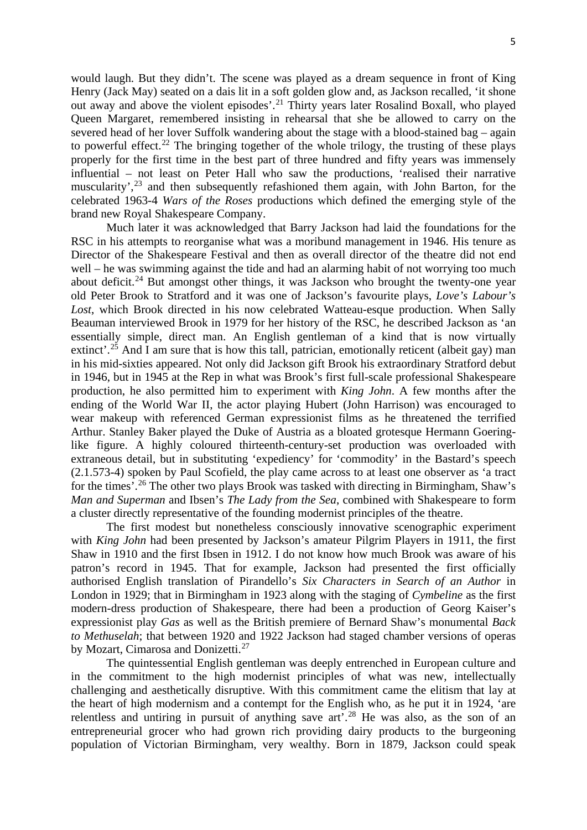would laugh. But they didn't. The scene was played as a dream sequence in front of King Henry (Jack May) seated on a dais lit in a soft golden glow and, as Jackson recalled, 'it shone out away and above the violent episodes'. [21](#page-11-13) Thirty years later Rosalind Boxall, who played Queen Margaret, remembered insisting in rehearsal that she be allowed to carry on the severed head of her lover Suffolk wandering about the stage with a blood-stained bag – again to powerful effect.<sup>[22](#page-11-14)</sup> The bringing together of the whole trilogy, the trusting of these plays properly for the first time in the best part of three hundred and fifty years was immensely influential – not least on Peter Hall who saw the productions, 'realised their narrative muscularity',<sup>[23](#page-11-15)</sup> and then subsequently refashioned them again, with John Barton, for the celebrated 1963-4 *Wars of the Roses* productions which defined the emerging style of the brand new Royal Shakespeare Company.

Much later it was acknowledged that Barry Jackson had laid the foundations for the RSC in his attempts to reorganise what was a moribund management in 1946. His tenure as Director of the Shakespeare Festival and then as overall director of the theatre did not end well – he was swimming against the tide and had an alarming habit of not worrying too much about deficit.<sup>[24](#page-11-16)</sup> But amongst other things, it was Jackson who brought the twenty-one year old Peter Brook to Stratford and it was one of Jackson's favourite plays, *Love's Labour's Lost*, which Brook directed in his now celebrated Watteau-esque production. When Sally Beauman interviewed Brook in 1979 for her history of the RSC, he described Jackson as 'an essentially simple, direct man. An English gentleman of a kind that is now virtually extinct'.<sup>[25](#page-11-17)</sup> And I am sure that is how this tall, patrician, emotionally reticent (albeit gay) man in his mid-sixties appeared. Not only did Jackson gift Brook his extraordinary Stratford debut in 1946, but in 1945 at the Rep in what was Brook's first full-scale professional Shakespeare production, he also permitted him to experiment with *King John*. A few months after the ending of the World War II, the actor playing Hubert (John Harrison) was encouraged to wear makeup with referenced German expressionist films as he threatened the terrified Arthur. Stanley Baker played the Duke of Austria as a bloated grotesque Hermann Goeringlike figure. A highly coloured thirteenth-century-set production was overloaded with extraneous detail, but in substituting 'expediency' for 'commodity' in the Bastard's speech (2.1.573-4) spoken by Paul Scofield, the play came across to at least one observer as 'a tract for the times'.<sup>[26](#page-11-18)</sup> The other two plays Brook was tasked with directing in Birmingham, Shaw's *Man and Superman* and Ibsen's *The Lady from the Sea*, combined with Shakespeare to form a cluster directly representative of the founding modernist principles of the theatre.

The first modest but nonetheless consciously innovative scenographic experiment with *King John* had been presented by Jackson's amateur Pilgrim Players in 1911, the first Shaw in 1910 and the first Ibsen in 1912. I do not know how much Brook was aware of his patron's record in 1945. That for example, Jackson had presented the first officially authorised English translation of Pirandello's *Six Characters in Search of an Author* in London in 1929; that in Birmingham in 1923 along with the staging of *Cymbeline* as the first modern-dress production of Shakespeare, there had been a production of Georg Kaiser's expressionist play *Gas* as well as the British premiere of Bernard Shaw's monumental *Back to Methuselah*; that between 1920 and 1922 Jackson had staged chamber versions of operas by Mozart, Cimarosa and Donizetti.<sup>[27](#page-11-19)</sup>

The quintessential English gentleman was deeply entrenched in European culture and in the commitment to the high modernist principles of what was new, intellectually challenging and aesthetically disruptive. With this commitment came the elitism that lay at the heart of high modernism and a contempt for the English who, as he put it in 1924, 'are relentless and untiring in pursuit of anything save art'.[28](#page-11-20) He was also, as the son of an entrepreneurial grocer who had grown rich providing dairy products to the burgeoning population of Victorian Birmingham, very wealthy. Born in 1879, Jackson could speak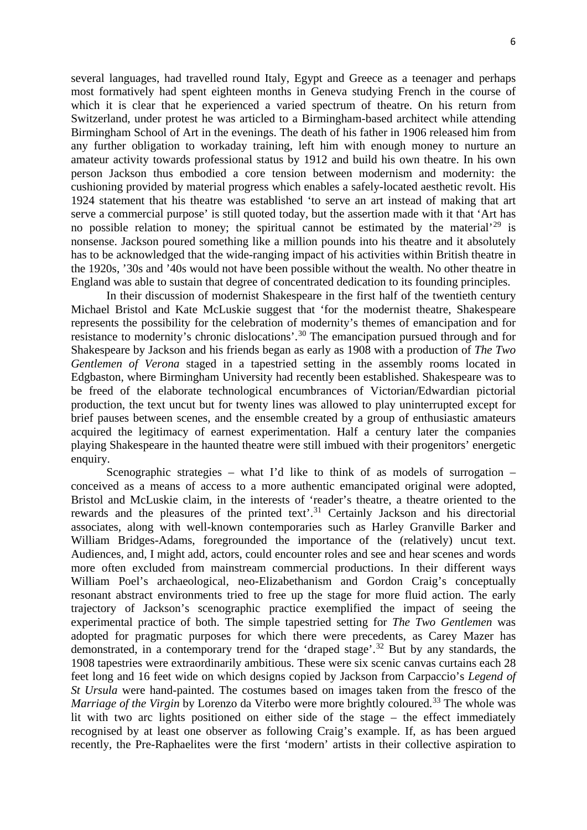several languages, had travelled round Italy, Egypt and Greece as a teenager and perhaps most formatively had spent eighteen months in Geneva studying French in the course of which it is clear that he experienced a varied spectrum of theatre. On his return from Switzerland, under protest he was articled to a Birmingham-based architect while attending Birmingham School of Art in the evenings. The death of his father in 1906 released him from any further obligation to workaday training, left him with enough money to nurture an amateur activity towards professional status by 1912 and build his own theatre. In his own person Jackson thus embodied a core tension between modernism and modernity: the cushioning provided by material progress which enables a safely-located aesthetic revolt. His 1924 statement that his theatre was established 'to serve an art instead of making that art serve a commercial purpose' is still quoted today, but the assertion made with it that 'Art has no possible relation to money; the spiritual cannot be estimated by the material<sup> $29$ </sup> is nonsense. Jackson poured something like a million pounds into his theatre and it absolutely has to be acknowledged that the wide-ranging impact of his activities within British theatre in the 1920s, '30s and '40s would not have been possible without the wealth. No other theatre in England was able to sustain that degree of concentrated dedication to its founding principles.

In their discussion of modernist Shakespeare in the first half of the twentieth century Michael Bristol and Kate McLuskie suggest that 'for the modernist theatre, Shakespeare represents the possibility for the celebration of modernity's themes of emancipation and for resistance to modernity's chronic dislocations'.<sup>[30](#page-11-22)</sup> The emancipation pursued through and for Shakespeare by Jackson and his friends began as early as 1908 with a production of *The Two Gentlemen of Verona* staged in a tapestried setting in the assembly rooms located in Edgbaston, where Birmingham University had recently been established. Shakespeare was to be freed of the elaborate technological encumbrances of Victorian/Edwardian pictorial production, the text uncut but for twenty lines was allowed to play uninterrupted except for brief pauses between scenes, and the ensemble created by a group of enthusiastic amateurs acquired the legitimacy of earnest experimentation. Half a century later the companies playing Shakespeare in the haunted theatre were still imbued with their progenitors' energetic enquiry.

Scenographic strategies – what I'd like to think of as models of surrogation – conceived as a means of access to a more authentic emancipated original were adopted, Bristol and McLuskie claim, in the interests of 'reader's theatre, a theatre oriented to the rewards and the pleasures of the printed text'.<sup>[31](#page-11-23)</sup> Certainly Jackson and his directorial associates, along with well-known contemporaries such as Harley Granville Barker and William Bridges-Adams, foregrounded the importance of the (relatively) uncut text. Audiences, and, I might add, actors, could encounter roles and see and hear scenes and words more often excluded from mainstream commercial productions. In their different ways William Poel's archaeological, neo-Elizabethanism and Gordon Craig's conceptually resonant abstract environments tried to free up the stage for more fluid action. The early trajectory of Jackson's scenographic practice exemplified the impact of seeing the experimental practice of both. The simple tapestried setting for *The Two Gentlemen* was adopted for pragmatic purposes for which there were precedents, as Carey Mazer has demonstrated, in a contemporary trend for the 'draped stage'.[32](#page-11-24) But by any standards, the 1908 tapestries were extraordinarily ambitious. These were six scenic canvas curtains each 28 feet long and 16 feet wide on which designs copied by Jackson from Carpaccio's *Legend of St Ursula* were hand-painted. The costumes based on images taken from the fresco of the *Marriage of the Virgin* by Lorenzo da Viterbo were more brightly coloured. [33](#page-11-25) The whole was lit with two arc lights positioned on either side of the stage – the effect immediately recognised by at least one observer as following Craig's example. If, as has been argued recently, the Pre-Raphaelites were the first 'modern' artists in their collective aspiration to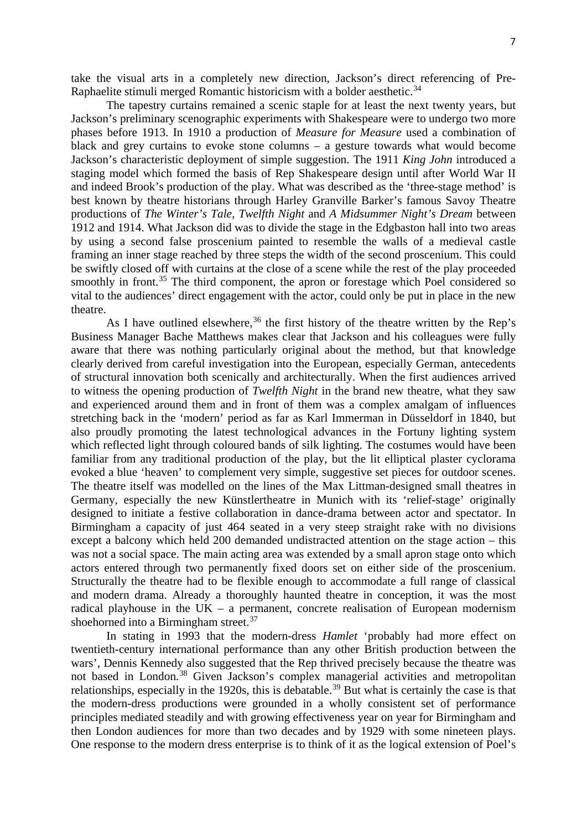take the visual arts in a completely new direction, Jackson's direct referencing of Pre-Raphaelite stimuli merged Romantic historicism with a bolder aesthetic.<sup>[34](#page-12-0)</sup>

The tapestry curtains remained a scenic staple for at least the next twenty years, but Jackson's preliminary scenographic experiments with Shakespeare were to undergo two more phases before 1913. In 1910 a production of *Measure for Measure* used a combination of black and grey curtains to evoke stone columns – a gesture towards what would become Jackson's characteristic deployment of simple suggestion. The 1911 *King John* introduced a staging model which formed the basis of Rep Shakespeare design until after World War II and indeed Brook's production of the play. What was described as the 'three-stage method' is best known by theatre historians through Harley Granville Barker's famous Savoy Theatre productions of *The Winter's Tale*, *Twelfth Night* and *A Midsummer Night's Dream* between 1912 and 1914. What Jackson did was to divide the stage in the Edgbaston hall into two areas by using a second false proscenium painted to resemble the walls of a medieval castle framing an inner stage reached by three steps the width of the second proscenium. This could be swiftly closed off with curtains at the close of a scene while the rest of the play proceeded smoothly in front.<sup>[35](#page-12-1)</sup> The third component, the apron or forestage which Poel considered so vital to the audiences' direct engagement with the actor, could only be put in place in the new theatre.

As I have outlined elsewhere,  $36$  the first history of the theatre written by the Rep's Business Manager Bache Matthews makes clear that Jackson and his colleagues were fully aware that there was nothing particularly original about the method, but that knowledge clearly derived from careful investigation into the European, especially German, antecedents of structural innovation both scenically and architecturally. When the first audiences arrived to witness the opening production of *Twelfth Night* in the brand new theatre, what they saw and experienced around them and in front of them was a complex amalgam of influences stretching back in the 'modern' period as far as Karl Immerman in Düsseldorf in 1840, but also proudly promoting the latest technological advances in the Fortuny lighting system which reflected light through coloured bands of silk lighting. The costumes would have been familiar from any traditional production of the play, but the lit elliptical plaster cyclorama evoked a blue 'heaven' to complement very simple, suggestive set pieces for outdoor scenes. The theatre itself was modelled on the lines of the Max Littman-designed small theatres in Germany, especially the new Künstlertheatre in Munich with its 'relief-stage' originally designed to initiate a festive collaboration in dance-drama between actor and spectator. In Birmingham a capacity of just 464 seated in a very steep straight rake with no divisions except a balcony which held 200 demanded undistracted attention on the stage action – this was not a social space. The main acting area was extended by a small apron stage onto which actors entered through two permanently fixed doors set on either side of the proscenium. Structurally the theatre had to be flexible enough to accommodate a full range of classical and modern drama. Already a thoroughly haunted theatre in conception, it was the most radical playhouse in the UK – a permanent, concrete realisation of European modernism shoehorned into a Birmingham street.<sup>[37](#page-12-3)</sup>

In stating in 1993 that the modern-dress *Hamlet* 'probably had more effect on twentieth-century international performance than any other British production between the wars', Dennis Kennedy also suggested that the Rep thrived precisely because the theatre was not based in London.[38](#page-12-4) Given Jackson's complex managerial activities and metropolitan relationships, especially in the 1920s, this is debatable.<sup>[39](#page-12-5)</sup> But what is certainly the case is that the modern-dress productions were grounded in a wholly consistent set of performance principles mediated steadily and with growing effectiveness year on year for Birmingham and then London audiences for more than two decades and by 1929 with some nineteen plays. One response to the modern dress enterprise is to think of it as the logical extension of Poel's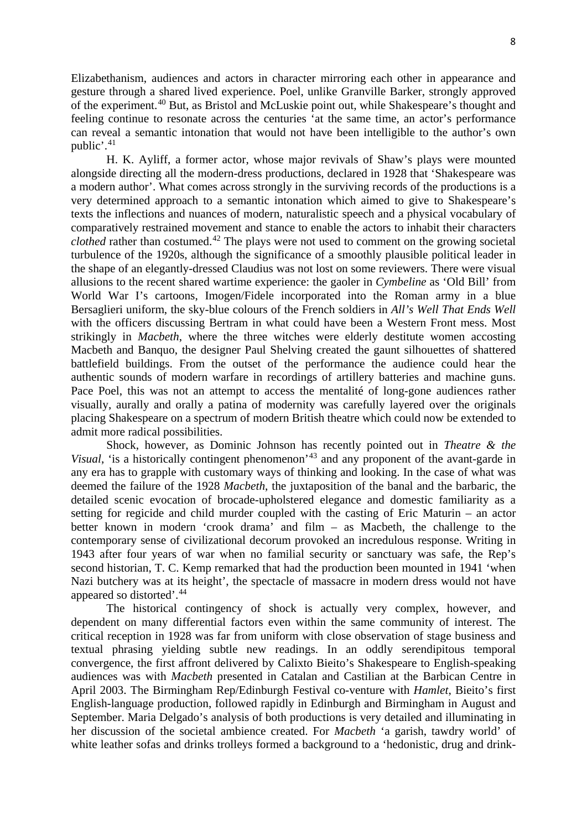Elizabethanism, audiences and actors in character mirroring each other in appearance and gesture through a shared lived experience. Poel, unlike Granville Barker, strongly approved of the experiment.[40](#page-12-6) But, as Bristol and McLuskie point out, while Shakespeare's thought and feeling continue to resonate across the centuries 'at the same time, an actor's performance can reveal a semantic intonation that would not have been intelligible to the author's own public'. [41](#page-12-7)

H. K. Ayliff, a former actor, whose major revivals of Shaw's plays were mounted alongside directing all the modern-dress productions, declared in 1928 that 'Shakespeare was a modern author'. What comes across strongly in the surviving records of the productions is a very determined approach to a semantic intonation which aimed to give to Shakespeare's texts the inflections and nuances of modern, naturalistic speech and a physical vocabulary of comparatively restrained movement and stance to enable the actors to inhabit their characters *clothed* rather than costumed.<sup>[42](#page-12-8)</sup> The plays were not used to comment on the growing societal turbulence of the 1920s, although the significance of a smoothly plausible political leader in the shape of an elegantly-dressed Claudius was not lost on some reviewers. There were visual allusions to the recent shared wartime experience: the gaoler in *Cymbeline* as 'Old Bill' from World War I's cartoons, Imogen/Fidele incorporated into the Roman army in a blue Bersaglieri uniform, the sky-blue colours of the French soldiers in *All's Well That Ends Well* with the officers discussing Bertram in what could have been a Western Front mess. Most strikingly in *Macbeth*, where the three witches were elderly destitute women accosting Macbeth and Banquo, the designer Paul Shelving created the gaunt silhouettes of shattered battlefield buildings. From the outset of the performance the audience could hear the authentic sounds of modern warfare in recordings of artillery batteries and machine guns. Pace Poel, this was not an attempt to access the mentalité of long-gone audiences rather visually, aurally and orally a patina of modernity was carefully layered over the originals placing Shakespeare on a spectrum of modern British theatre which could now be extended to admit more radical possibilities.

Shock, however, as Dominic Johnson has recently pointed out in *Theatre & the Visual*, 'is a historically contingent phenomenon'<sup>[43](#page-12-9)</sup> and any proponent of the avant-garde in any era has to grapple with customary ways of thinking and looking. In the case of what was deemed the failure of the 1928 *Macbeth*, the juxtaposition of the banal and the barbaric, the detailed scenic evocation of brocade-upholstered elegance and domestic familiarity as a setting for regicide and child murder coupled with the casting of Eric Maturin – an actor better known in modern 'crook drama' and film – as Macbeth, the challenge to the contemporary sense of civilizational decorum provoked an incredulous response. Writing in 1943 after four years of war when no familial security or sanctuary was safe, the Rep's second historian, T. C. Kemp remarked that had the production been mounted in 1941 'when Nazi butchery was at its height', the spectacle of massacre in modern dress would not have appeared so distorted'.[44](#page-12-10)

The historical contingency of shock is actually very complex, however, and dependent on many differential factors even within the same community of interest. The critical reception in 1928 was far from uniform with close observation of stage business and textual phrasing yielding subtle new readings. In an oddly serendipitous temporal convergence, the first affront delivered by Calixto Bieito's Shakespeare to English-speaking audiences was with *Macbeth* presented in Catalan and Castilian at the Barbican Centre in April 2003. The Birmingham Rep/Edinburgh Festival co-venture with *Hamlet*, Bieito's first English-language production, followed rapidly in Edinburgh and Birmingham in August and September. Maria Delgado's analysis of both productions is very detailed and illuminating in her discussion of the societal ambience created. For *Macbeth* 'a garish, tawdry world' of white leather sofas and drinks trolleys formed a background to a 'hedonistic, drug and drink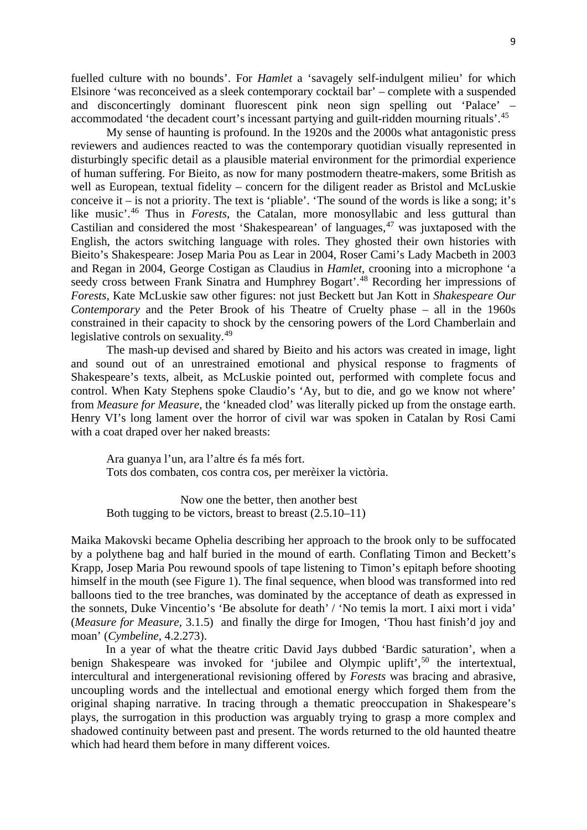fuelled culture with no bounds'. For *Hamlet* a 'savagely self-indulgent milieu' for which Elsinore 'was reconceived as a sleek contemporary cocktail bar' – complete with a suspended and disconcertingly dominant fluorescent pink neon sign spelling out 'Palace' – accommodated 'the decadent court's incessant partying and guilt-ridden mourning rituals'.<sup>[45](#page-12-11)</sup>

My sense of haunting is profound. In the 1920s and the 2000s what antagonistic press reviewers and audiences reacted to was the contemporary quotidian visually represented in disturbingly specific detail as a plausible material environment for the primordial experience of human suffering. For Bieito, as now for many postmodern theatre-makers, some British as well as European, textual fidelity – concern for the diligent reader as Bristol and McLuskie conceive it – is not a priority. The text is 'pliable'. 'The sound of the words is like a song; it's like music<sup>', [46](#page-12-12)</sup> Thus in *Forests*, the Catalan, more monosyllabic and less guttural than Castilian and considered the most 'Shakespearean' of languages, [47](#page-12-13) was juxtaposed with the English, the actors switching language with roles. They ghosted their own histories with Bieito's Shakespeare: Josep Maria Pou as Lear in 2004, Roser Cami's Lady Macbeth in 2003 and Regan in 2004, George Costigan as Claudius in *Hamlet*, crooning into a microphone 'a seedy cross between Frank Sinatra and Humphrey Bogart'.<sup>[48](#page-12-14)</sup> Recording her impressions of *Forests*, Kate McLuskie saw other figures: not just Beckett but Jan Kott in *Shakespeare Our Contemporary* and the Peter Brook of his Theatre of Cruelty phase – all in the 1960s constrained in their capacity to shock by the censoring powers of the Lord Chamberlain and legislative controls on sexuality.<sup>[49](#page-12-15)</sup>

The mash-up devised and shared by Bieito and his actors was created in image, light and sound out of an unrestrained emotional and physical response to fragments of Shakespeare's texts, albeit, as McLuskie pointed out, performed with complete focus and control. When Katy Stephens spoke Claudio's 'Ay, but to die, and go we know not where' from *Measure for Measure*, the 'kneaded clod' was literally picked up from the onstage earth. Henry VI's long lament over the horror of civil war was spoken in Catalan by Rosi Cami with a coat draped over her naked breasts:

Ara guanya l'un, ara l'altre és fa més fort. Tots dos combaten, cos contra cos, per merèixer la victòria.

Now one the better, then another best Both tugging to be victors, breast to breast  $(2.5.10-11)$ 

Maika Makovski became Ophelia describing her approach to the brook only to be suffocated by a polythene bag and half buried in the mound of earth. Conflating Timon and Beckett's Krapp, Josep Maria Pou rewound spools of tape listening to Timon's epitaph before shooting himself in the mouth (see Figure 1). The final sequence, when blood was transformed into red balloons tied to the tree branches, was dominated by the acceptance of death as expressed in the sonnets, Duke Vincentio's 'Be absolute for death' / 'No temis la mort. I aixi mort i vida' (*Measure for Measure*, 3.1.5) and finally the dirge for Imogen, 'Thou hast finish'd joy and moan' (*Cymbeline*, 4.2.273).

In a year of what the theatre critic David Jays dubbed 'Bardic saturation', when a benign Shakespeare was invoked for 'jubilee and Olympic uplift',<sup>[50](#page-12-16)</sup> the intertextual, intercultural and intergenerational revisioning offered by *Forests* was bracing and abrasive, uncoupling words and the intellectual and emotional energy which forged them from the original shaping narrative. In tracing through a thematic preoccupation in Shakespeare's plays, the surrogation in this production was arguably trying to grasp a more complex and shadowed continuity between past and present. The words returned to the old haunted theatre which had heard them before in many different voices.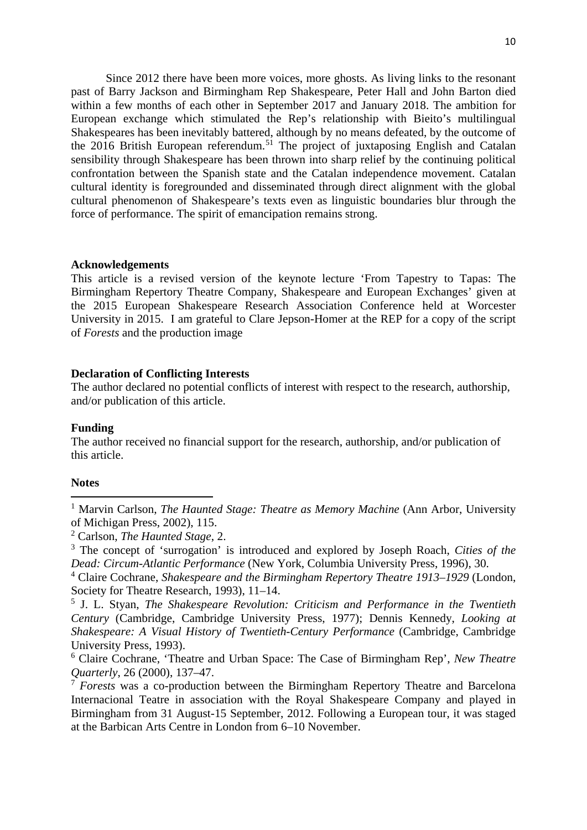Since 2012 there have been more voices, more ghosts. As living links to the resonant past of Barry Jackson and Birmingham Rep Shakespeare, Peter Hall and John Barton died within a few months of each other in September 2017 and January 2018. The ambition for European exchange which stimulated the Rep's relationship with Bieito's multilingual Shakespeares has been inevitably battered, although by no means defeated, by the outcome of the 2016 British European referendum.<sup>[51](#page-12-17)</sup> The project of juxtaposing English and Catalan sensibility through Shakespeare has been thrown into sharp relief by the continuing political confrontation between the Spanish state and the Catalan independence movement. Catalan cultural identity is foregrounded and disseminated through direct alignment with the global cultural phenomenon of Shakespeare's texts even as linguistic boundaries blur through the force of performance. The spirit of emancipation remains strong.

### **Acknowledgements**

This article is a revised version of the keynote lecture 'From Tapestry to Tapas: The Birmingham Repertory Theatre Company, Shakespeare and European Exchanges' given at the 2015 European Shakespeare Research Association Conference held at Worcester University in 2015. I am grateful to Clare Jepson-Homer at the REP for a copy of the script of *Forests* and the production image

### **Declaration of Conflicting Interests**

The author declared no potential conflicts of interest with respect to the research, authorship, and/or publication of this article.

### **Funding**

The author received no financial support for the research, authorship, and/or publication of this article.

## **Notes**

 $\overline{a}$ 

<span id="page-10-0"></span><sup>&</sup>lt;sup>1</sup> Marvin Carlson, *The Haunted Stage: Theatre as Memory Machine* (Ann Arbor, University of Michigan Press, 2002), 115.

<span id="page-10-1"></span><sup>2</sup> Carlson, *The Haunted Stage*, 2.

<span id="page-10-2"></span><sup>3</sup> The concept of 'surrogation' is introduced and explored by Joseph Roach, *Cities of the Dead: Circum-Atlantic Performance* (New York, Columbia University Press, 1996), 30.

<span id="page-10-3"></span><sup>4</sup> Claire Cochrane, *Shakespeare and the Birmingham Repertory Theatre 1913–1929* (London, Society for Theatre Research, 1993), 11–14.

<span id="page-10-4"></span><sup>5</sup> J. L. Styan, *The Shakespeare Revolution: Criticism and Performance in the Twentieth Century* (Cambridge, Cambridge University Press, 1977); Dennis Kennedy, *Looking at Shakespeare: A Visual History of Twentieth-Century Performance* (Cambridge, Cambridge University Press, 1993).

<span id="page-10-5"></span><sup>6</sup> Claire Cochrane, 'Theatre and Urban Space: The Case of Birmingham Rep', *New Theatre Quarterly*, 26 (2000), 137–47.

<span id="page-10-6"></span><sup>7</sup> *Forests* was a co-production between the Birmingham Repertory Theatre and Barcelona Internacional Teatre in association with the Royal Shakespeare Company and played in Birmingham from 31 August-15 September, 2012. Following a European tour, it was staged at the Barbican Arts Centre in London from 6–10 November.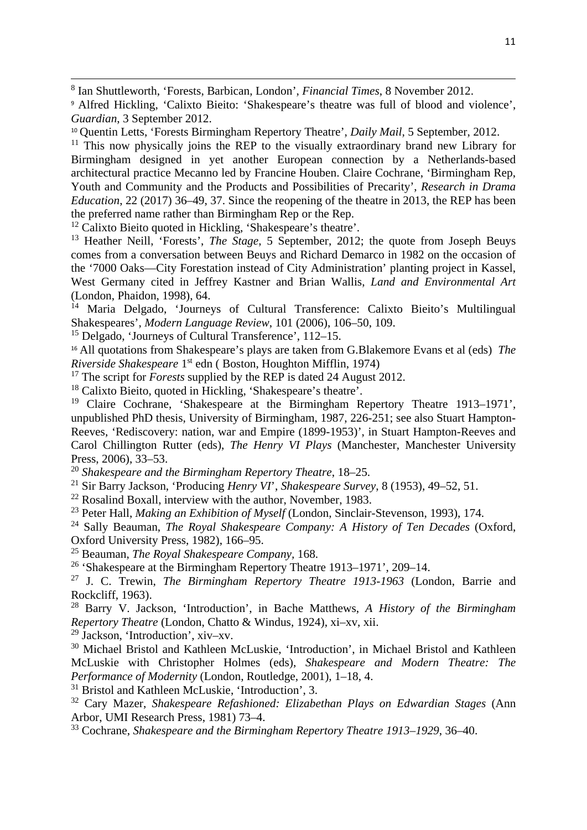<span id="page-11-0"></span><sup>8</sup> Ian Shuttleworth, 'Forests, Barbican, London', *Financial Times*, 8 November 2012.

<span id="page-11-1"></span><sup>9</sup> Alfred Hickling, 'Calixto Bieito: 'Shakespeare's theatre was full of blood and violence', *Guardian*, 3 September 2012.

<span id="page-11-2"></span><sup>10</sup> Quentin Letts, 'Forests Birmingham Repertory Theatre', *Daily Mail,* 5 September, 2012.

<span id="page-11-3"></span><sup>11</sup> This now physically joins the REP to the visually extraordinary brand new Library for Birmingham designed in yet another European connection by a Netherlands-based architectural practice Mecanno led by Francine Houben. Claire Cochrane, 'Birmingham Rep, Youth and Community and the Products and Possibilities of Precarity', *Research in Drama Education*, 22 (2017) 36–49, 37. Since the reopening of the theatre in 2013, the REP has been the preferred name rather than Birmingham Rep or the Rep.

<span id="page-11-4"></span><sup>12</sup> Calixto Bieito quoted in Hickling, 'Shakespeare's theatre'.

 $\overline{a}$ 

<span id="page-11-5"></span><sup>13</sup> Heather Neill, 'Forests', *The Stage*, 5 September, 2012; the quote from Joseph Beuys comes from a conversation between Beuys and Richard Demarco in 1982 on the occasion of the '7000 Oaks—City Forestation instead of City Administration' planting project in Kassel, West Germany cited in Jeffrey Kastner and Brian Wallis, *Land and Environmental Art* (London, Phaidon, 1998), 64.

<span id="page-11-6"></span><sup>14</sup> Maria Delgado, 'Journeys of Cultural Transference: Calixto Bieito's Multilingual Shakespeares', *Modern Language Review*, 101 (2006), 106–50, 109.

<span id="page-11-7"></span><sup>15</sup> Delgado, 'Journeys of Cultural Transference', 112–15.

<span id="page-11-8"></span><sup>16</sup> All quotations from Shakespeare's plays are taken from G.Blakemore Evans et al (eds) *The Riverside Shakespeare* 1st edn ( Boston, Houghton Mifflin, 1974)

<span id="page-11-9"></span><sup>17</sup> The script for *Forests* supplied by the REP is dated 24 August 2012.

<span id="page-11-10"></span><sup>18</sup> Calixto Bieito, quoted in Hickling, 'Shakespeare's theatre'.

<span id="page-11-11"></span><sup>19</sup> Claire Cochrane, 'Shakespeare at the Birmingham Repertory Theatre 1913–1971', unpublished PhD thesis, University of Birmingham, 1987, 226-251; see also Stuart Hampton-Reeves, 'Rediscovery: nation, war and Empire (1899-1953)', in Stuart Hampton-Reeves and Carol Chillington Rutter (eds), *The Henry VI Plays* (Manchester, Manchester University Press, 2006), 33–53.

<span id="page-11-12"></span><sup>20</sup> *Shakespeare and the Birmingham Repertory Theatre*, 18–25.

<span id="page-11-13"></span><sup>21</sup> Sir Barry Jackson, 'Producing *Henry VI*', *Shakespeare Survey*, 8 (1953), 49–52, 51.

<span id="page-11-14"></span><sup>22</sup> Rosalind Boxall, interview with the author, November, 1983.

<span id="page-11-15"></span><sup>23</sup> Peter Hall, *Making an Exhibition of Myself* (London, Sinclair-Stevenson, 1993), 174.

<span id="page-11-16"></span><sup>24</sup> Sally Beauman, *The Royal Shakespeare Company: A History of Ten Decades* (Oxford, Oxford University Press, 1982), 166–95.

<span id="page-11-17"></span><sup>25</sup> Beauman, *The Royal Shakespeare Company,* 168.

<span id="page-11-18"></span><sup>26</sup> 'Shakespeare at the Birmingham Repertory Theatre 1913–1971', 209–14.

<span id="page-11-19"></span><sup>27</sup> J. C. Trewin, *The Birmingham Repertory Theatre 1913-1963* (London, Barrie and Rockcliff, 1963).

<span id="page-11-20"></span><sup>28</sup> Barry V. Jackson, 'Introduction', in Bache Matthews, *A History of the Birmingham Repertory Theatre* (London, Chatto & Windus, 1924), xi–xv, xii.

<span id="page-11-21"></span> $29$  Jackson, 'Introduction', xiv–xv.

<span id="page-11-22"></span><sup>30</sup> Michael Bristol and Kathleen McLuskie, 'Introduction', in Michael Bristol and Kathleen McLuskie with Christopher Holmes (eds), *Shakespeare and Modern Theatre: The Performance of Modernity* (London, Routledge, 2001), 1–18, 4.

<span id="page-11-23"></span><sup>31</sup> Bristol and Kathleen McLuskie, 'Introduction', 3.

<span id="page-11-24"></span><sup>32</sup> Cary Mazer, *Shakespeare Refashioned: Elizabethan Plays on Edwardian Stages* (Ann Arbor, UMI Research Press, 1981) 73–4.

<span id="page-11-25"></span><sup>33</sup> Cochrane, *Shakespeare and the Birmingham Repertory Theatre 1913–1929*, 36–40.